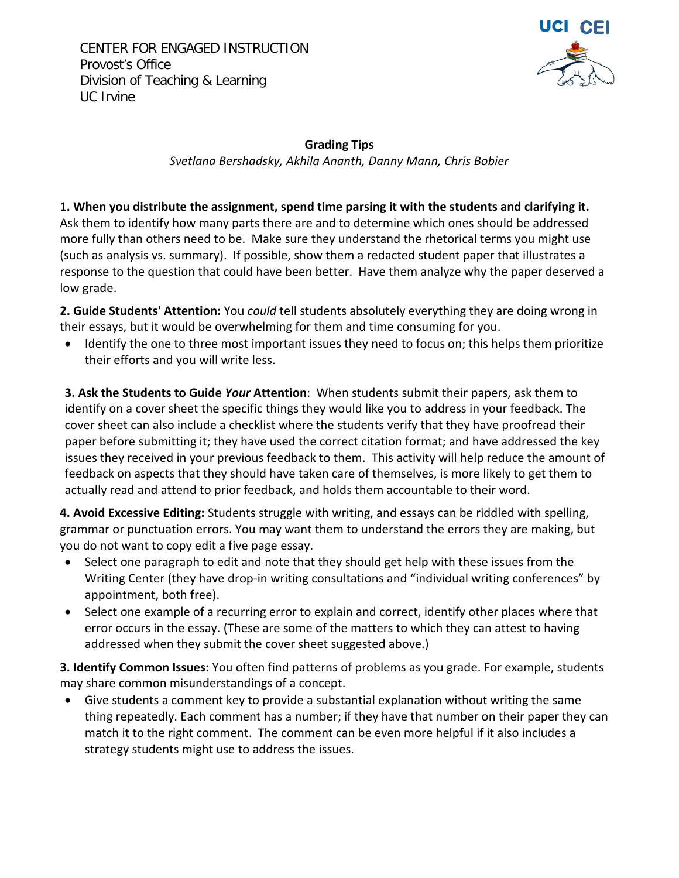CENTER FOR ENGAGED INSTRUCTION Provost's Office Division of Teaching & Learning UC Irvine



**Grading Tips** *Svetlana Bershadsky, Akhila Ananth, Danny Mann, Chris Bobier*

**1. When you distribute the assignment, spend time parsing it with the students and clarifying it.** 

Ask them to identify how many parts there are and to determine which ones should be addressed more fully than others need to be. Make sure they understand the rhetorical terms you might use (such as analysis vs. summary). If possible, show them a redacted student paper that illustrates a response to the question that could have been better. Have them analyze why the paper deserved a low grade.

**2. Guide Students' Attention:** You *could* tell students absolutely everything they are doing wrong in their essays, but it would be overwhelming for them and time consuming for you.

• Identify the one to three most important issues they need to focus on; this helps them prioritize their efforts and you will write less.

**3. Ask the Students to Guide** *Your* **Attention**: When students submit their papers, ask them to identify on a cover sheet the specific things they would like you to address in your feedback. The cover sheet can also include a checklist where the students verify that they have proofread their paper before submitting it; they have used the correct citation format; and have addressed the key issues they received in your previous feedback to them. This activity will help reduce the amount of feedback on aspects that they should have taken care of themselves, is more likely to get them to actually read and attend to prior feedback, and holds them accountable to their word.

**4. Avoid Excessive Editing:** Students struggle with writing, and essays can be riddled with spelling, grammar or punctuation errors. You may want them to understand the errors they are making, but you do not want to copy edit a five page essay.

- Select one paragraph to edit and note that they should get help with these issues from the Writing Center (they have drop-in writing consultations and "individual writing conferences" by appointment, both free).
- Select one example of a recurring error to explain and correct, identify other places where that error occurs in the essay. (These are some of the matters to which they can attest to having addressed when they submit the cover sheet suggested above.)

**3. Identify Common Issues:** You often find patterns of problems as you grade. For example, students may share common misunderstandings of a concept.

• Give students a comment key to provide a substantial explanation without writing the same thing repeatedly. Each comment has a number; if they have that number on their paper they can match it to the right comment. The comment can be even more helpful if it also includes a strategy students might use to address the issues.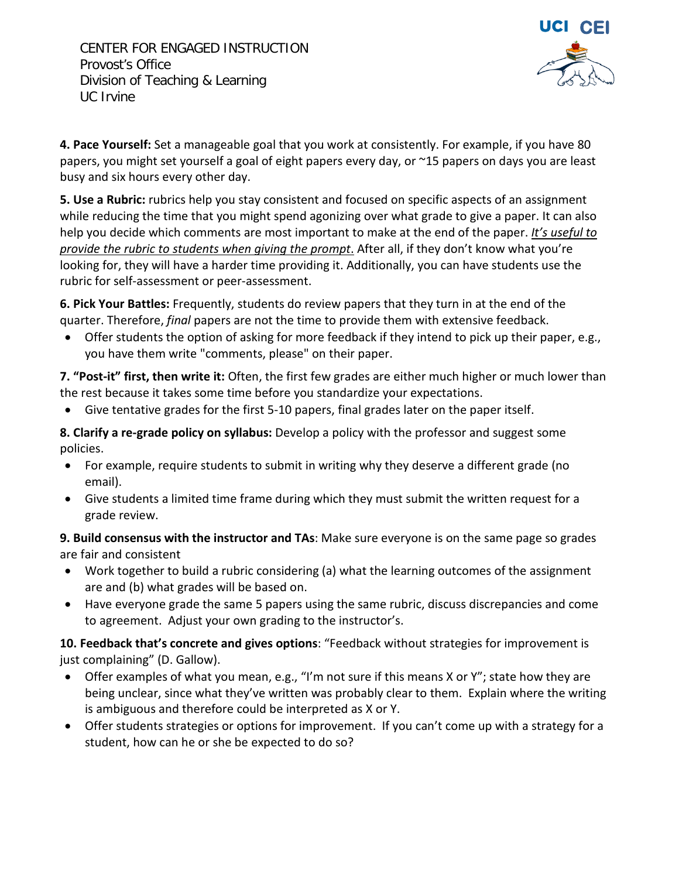

**4. Pace Yourself:** Set a manageable goal that you work at consistently. For example, if you have 80 papers, you might set yourself a goal of eight papers every day, or ~15 papers on days you are least busy and six hours every other day.

**5. Use a Rubric:** rubrics help you stay consistent and focused on specific aspects of an assignment while reducing the time that you might spend agonizing over what grade to give a paper. It can also help you decide which comments are most important to make at the end of the paper. *It's useful to provide the rubric to students when giving the prompt*. After all, if they don't know what you're looking for, they will have a harder time providing it. Additionally, you can have students use the rubric for self-assessment or peer-assessment.

**6. Pick Your Battles:** Frequently, students do review papers that they turn in at the end of the quarter. Therefore, *final* papers are not the time to provide them with extensive feedback.

• Offer students the option of asking for more feedback if they intend to pick up their paper, e.g., you have them write "comments, please" on their paper.

**7. "Post-it" first, then write it:** Often, the first few grades are either much higher or much lower than the rest because it takes some time before you standardize your expectations.

• Give tentative grades for the first 5-10 papers, final grades later on the paper itself.

**8. Clarify a re-grade policy on syllabus:** Develop a policy with the professor and suggest some policies.

- For example, require students to submit in writing why they deserve a different grade (no email).
- Give students a limited time frame during which they must submit the written request for a grade review.

**9. Build consensus with the instructor and TAs**: Make sure everyone is on the same page so grades are fair and consistent

- Work together to build a rubric considering (a) what the learning outcomes of the assignment are and (b) what grades will be based on.
- Have everyone grade the same 5 papers using the same rubric, discuss discrepancies and come to agreement. Adjust your own grading to the instructor's.

**10. Feedback that's concrete and gives options**: "Feedback without strategies for improvement is just complaining" (D. Gallow).

- Offer examples of what you mean, e.g., "I'm not sure if this means X or Y"; state how they are being unclear, since what they've written was probably clear to them. Explain where the writing is ambiguous and therefore could be interpreted as X or Y.
- Offer students strategies or options for improvement. If you can't come up with a strategy for a student, how can he or she be expected to do so?